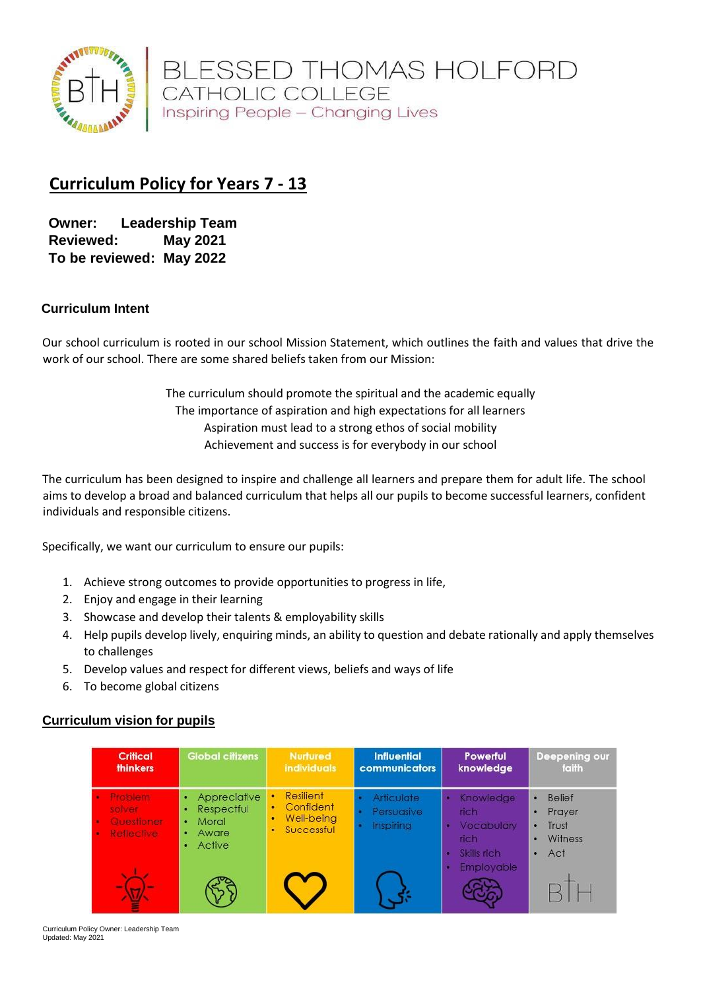

BLESSED THOMAS HOLFORD<br>CATHOLIC COLLEGE Inspiring People - Changing Lives

# **Curriculum Policy for Years 7 - 13**

**Owner: Leadership Team Reviewed: May 2021 To be reviewed: May 2022**

#### **Curriculum Intent**

Our school curriculum is rooted in our school Mission Statement, which outlines the faith and values that drive the work of our school. There are some shared beliefs taken from our Mission:

> The curriculum should promote the spiritual and the academic equally The importance of aspiration and high expectations for all learners Aspiration must lead to a strong ethos of social mobility Achievement and success is for everybody in our school

The curriculum has been designed to inspire and challenge all learners and prepare them for adult life. The school aims to develop a broad and balanced curriculum that helps all our pupils to become successful learners, confident individuals and responsible citizens.

Specifically, we want our curriculum to ensure our pupils:

- 1. Achieve strong outcomes to provide opportunities to progress in life,
- 2. Enjoy and engage in their learning
- 3. Showcase and develop their talents & employability skills
- 4. Help pupils develop lively, enquiring minds, an ability to question and debate rationally and apply themselves to challenges
- 5. Develop values and respect for different views, beliefs and ways of life
- 6. To become global citizens

#### **Curriculum vision for pupils**

| <b>Critical</b><br><b>thinkers</b>                   | <b>Global citizens</b>                                                    | <b>Nurtured</b><br><i>individuals</i>                                  | <b>Influential</b><br><b>communicators</b>   | Powerful<br>knowledge                                   | <b>Deepening our</b><br>faith                                                      |
|------------------------------------------------------|---------------------------------------------------------------------------|------------------------------------------------------------------------|----------------------------------------------|---------------------------------------------------------|------------------------------------------------------------------------------------|
| Prothern<br>olver<br><b>Questioner</b><br>Reflective | Appreciative<br>Respectful<br>Moral<br>$\bullet$<br>Aware<br>a.<br>Active | Resilient<br>٠<br>Confident<br>۰<br>Well-being<br>٠<br>Successful<br>٠ | <b>Articulate</b><br>Persuasive<br>Inspiring | Knowledge<br>rich.<br>Vocabulary<br>rich<br>Skills rich | <b>Belief</b><br>٠<br>Prayer<br>٠<br>Trust<br>٠<br><b>Witness</b><br>٠<br>Act<br>٠ |
|                                                      |                                                                           |                                                                        |                                              | <b>Employable</b>                                       |                                                                                    |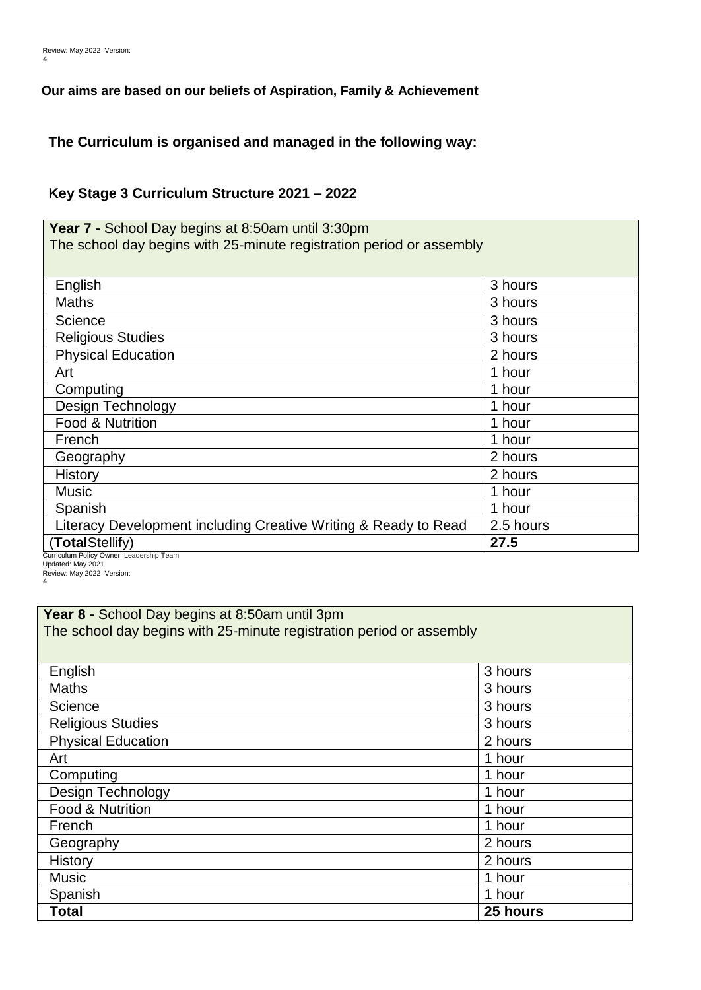#### **Our aims are based on our beliefs of Aspiration, Family & Achievement**

**The Curriculum is organised and managed in the following way:**

### **Key Stage 3 Curriculum Structure 2021 – 2022**

**Year 7 -** School Day begins at 8:50am until 3:30pm The school day begins with 25-minute registration period or assembly

| English                                                         | 3 hours   |
|-----------------------------------------------------------------|-----------|
| <b>Maths</b>                                                    | 3 hours   |
| Science                                                         | 3 hours   |
| <b>Religious Studies</b>                                        | 3 hours   |
| <b>Physical Education</b>                                       | 2 hours   |
| Art                                                             | 1 hour    |
| Computing                                                       | 1 hour    |
| <b>Design Technology</b>                                        | 1 hour    |
| Food & Nutrition                                                | 1 hour    |
| French                                                          | 1 hour    |
| Geography                                                       | 2 hours   |
| <b>History</b>                                                  | 2 hours   |
| <b>Music</b>                                                    | 1 hour    |
| Spanish                                                         | 1 hour    |
| Literacy Development including Creative Writing & Ready to Read | 2.5 hours |
| (TotalStellify)                                                 | 27.5      |
| Curriculum Policy Owner: Loadership Toam                        |           |

ership Team Updated: May 2021 Review: May 2022 Version: 4

| Year 8 - School Day begins at 8:50am until 3pm                       |          |  |
|----------------------------------------------------------------------|----------|--|
| The school day begins with 25-minute registration period or assembly |          |  |
|                                                                      |          |  |
| English                                                              | 3 hours  |  |
| <b>Maths</b>                                                         | 3 hours  |  |
| Science                                                              | 3 hours  |  |
| <b>Religious Studies</b>                                             | 3 hours  |  |
| <b>Physical Education</b>                                            | 2 hours  |  |
| Art                                                                  | 1 hour   |  |
| Computing                                                            | 1 hour   |  |
| Design Technology                                                    | 1 hour   |  |
| Food & Nutrition                                                     | 1 hour   |  |
| French                                                               | 1 hour   |  |
| Geography                                                            | 2 hours  |  |
| History                                                              | 2 hours  |  |
| <b>Music</b>                                                         | 1 hour   |  |
| Spanish                                                              | 1 hour   |  |
| <b>Total</b>                                                         | 25 hours |  |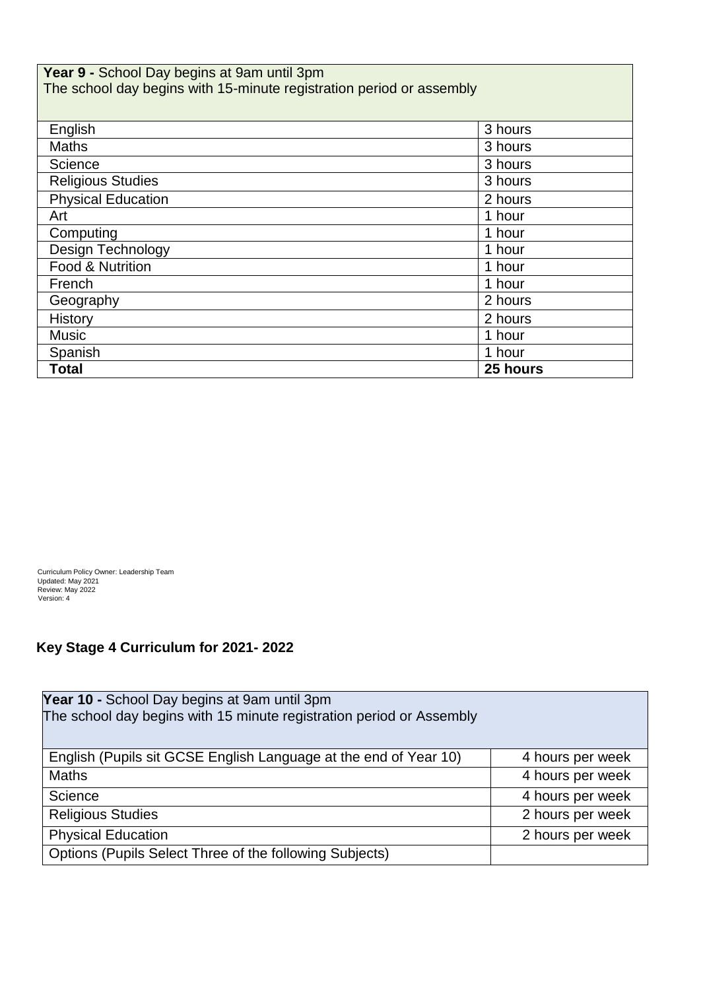| Year 9 - School Day begins at 9am until 3pm<br>The school day begins with 15-minute registration period or assembly |          |  |
|---------------------------------------------------------------------------------------------------------------------|----------|--|
| English                                                                                                             | 3 hours  |  |
| <b>Maths</b>                                                                                                        | 3 hours  |  |
| Science                                                                                                             | 3 hours  |  |
| <b>Religious Studies</b>                                                                                            | 3 hours  |  |
| <b>Physical Education</b>                                                                                           | 2 hours  |  |
| Art                                                                                                                 | 1 hour   |  |
| Computing                                                                                                           | 1 hour   |  |
| Design Technology                                                                                                   | 1 hour   |  |
| Food & Nutrition                                                                                                    | 1 hour   |  |
| French                                                                                                              | 1 hour   |  |
| Geography                                                                                                           | 2 hours  |  |
| History                                                                                                             | 2 hours  |  |
| <b>Music</b>                                                                                                        | 1 hour   |  |
| Spanish                                                                                                             | 1 hour   |  |
| <b>Total</b>                                                                                                        | 25 hours |  |

Curriculum Policy Owner: Leadership Team Updated: May 2021 Review: May 2022 Version: 4

## **Key Stage 4 Curriculum for 2021- 2022**

| Year 10 - School Day begins at 9am until 3pm                         |                  |
|----------------------------------------------------------------------|------------------|
| The school day begins with 15 minute registration period or Assembly |                  |
|                                                                      |                  |
| English (Pupils sit GCSE English Language at the end of Year 10)     | 4 hours per week |
| <b>Maths</b>                                                         | 4 hours per week |
| Science                                                              | 4 hours per week |
| <b>Religious Studies</b>                                             | 2 hours per week |
| <b>Physical Education</b>                                            | 2 hours per week |
| Options (Pupils Select Three of the following Subjects)              |                  |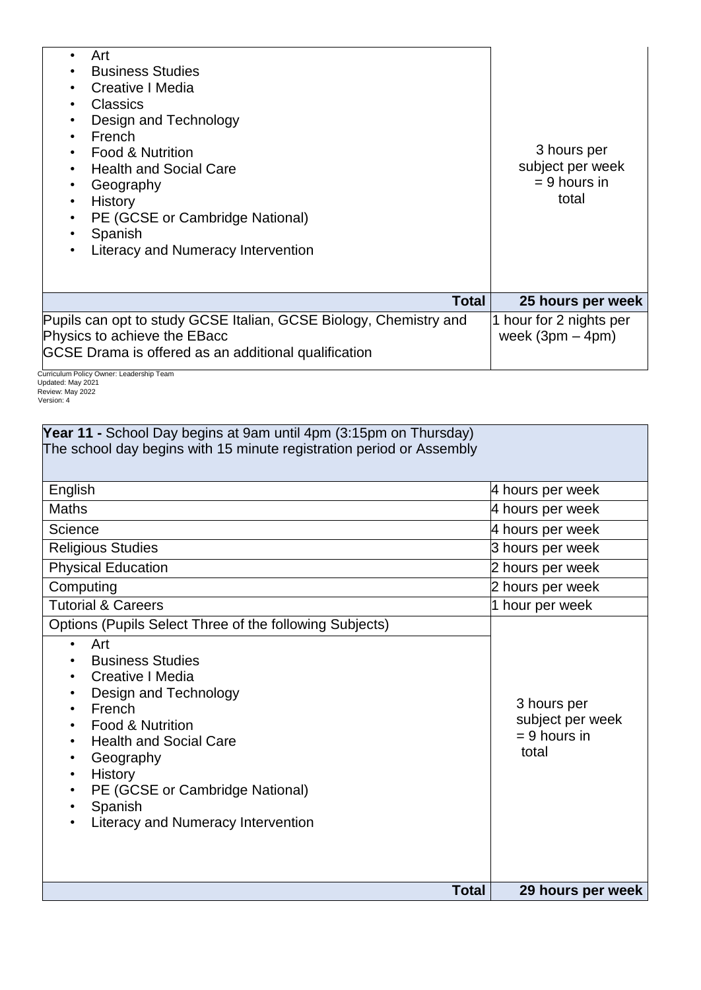| Art<br>$\bullet$<br><b>Business Studies</b><br>$\bullet$<br>Creative I Media<br>$\bullet$<br>Classics<br>$\bullet$<br>Design and Technology<br>$\bullet$<br>French<br>$\bullet$<br><b>Food &amp; Nutrition</b><br><b>Health and Social Care</b><br>Geography<br>٠<br>History<br>$\bullet$<br>PE (GCSE or Cambridge National)<br>$\bullet$<br>Spanish<br>Literacy and Numeracy Intervention<br>٠ | 3 hours per<br>subject per week<br>$= 9$ hours in<br>total |
|-------------------------------------------------------------------------------------------------------------------------------------------------------------------------------------------------------------------------------------------------------------------------------------------------------------------------------------------------------------------------------------------------|------------------------------------------------------------|
| Total                                                                                                                                                                                                                                                                                                                                                                                           | 25 hours per week                                          |
| Pupils can opt to study GCSE Italian, GCSE Biology, Chemistry and<br>Physics to achieve the EBacc<br>GCSE Drama is offered as an additional qualification                                                                                                                                                                                                                                       | 1 hour for 2 nights per<br>week $(3pm - 4pm)$              |

Curriculum Policy Owner: Leadership Team Updated: May 2021 Review: May 2022 Version: 4

| Year 11 - School Day begins at 9am until 4pm (3:15pm on Thursday)<br>The school day begins with 15 minute registration period or Assembly                                                                                                                                                                                      |                                                            |  |
|--------------------------------------------------------------------------------------------------------------------------------------------------------------------------------------------------------------------------------------------------------------------------------------------------------------------------------|------------------------------------------------------------|--|
| English                                                                                                                                                                                                                                                                                                                        | 4 hours per week                                           |  |
| <b>Maths</b>                                                                                                                                                                                                                                                                                                                   | 4 hours per week                                           |  |
| Science                                                                                                                                                                                                                                                                                                                        | 4 hours per week                                           |  |
| <b>Religious Studies</b>                                                                                                                                                                                                                                                                                                       | 3 hours per week                                           |  |
| <b>Physical Education</b>                                                                                                                                                                                                                                                                                                      | 2 hours per week                                           |  |
| Computing                                                                                                                                                                                                                                                                                                                      | 2 hours per week                                           |  |
| <b>Tutorial &amp; Careers</b>                                                                                                                                                                                                                                                                                                  | 1 hour per week                                            |  |
| Options (Pupils Select Three of the following Subjects)<br>Art<br>$\bullet$<br><b>Business Studies</b><br>Creative I Media<br>Design and Technology<br>French<br>Food & Nutrition<br><b>Health and Social Care</b><br>Geography<br>History<br>PE (GCSE or Cambridge National)<br>Spanish<br>Literacy and Numeracy Intervention | 3 hours per<br>subject per week<br>$= 9$ hours in<br>total |  |
| <b>Total</b>                                                                                                                                                                                                                                                                                                                   | 29 hours per week                                          |  |